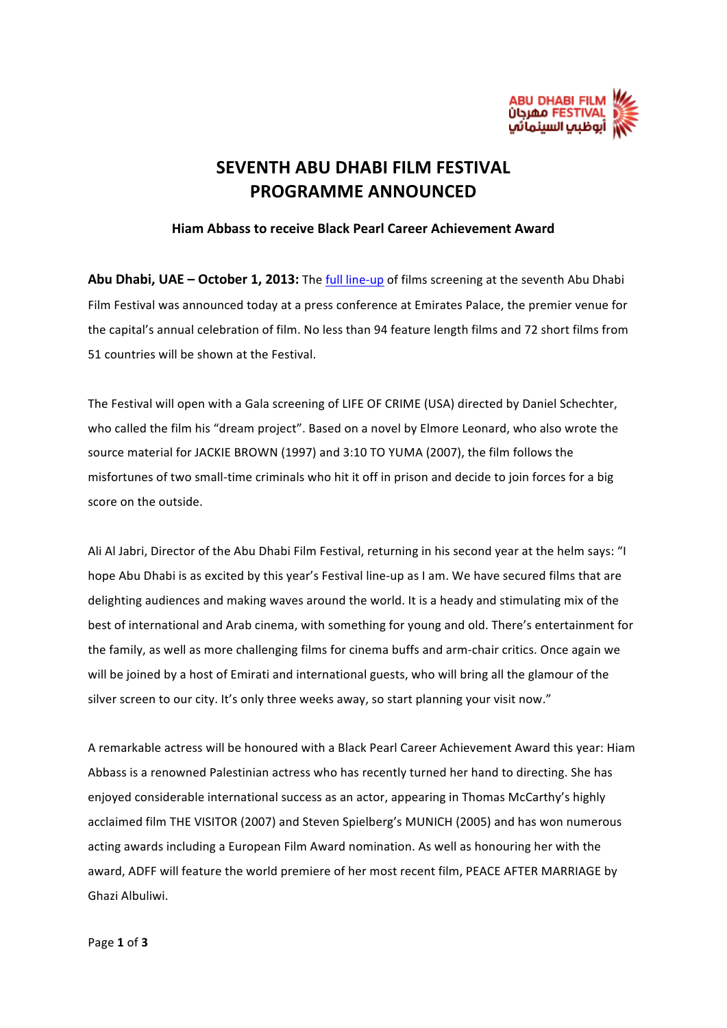

## **SEVENTH ABU DHABI FILM FESTIVAL PROGRAMME ANNOUNCED**

## **Hiam Abbass to receive Black Pearl Career Achievement Award**

Abu Dhabi, UAE - October 1, 2013: The full line-up of films screening at the seventh Abu Dhabi Film Festival was announced today at a press conference at Emirates Palace, the premier venue for the capital's annual celebration of film. No less than 94 feature length films and 72 short films from 51 countries will be shown at the Festival.

The Festival will open with a Gala screening of LIFE OF CRIME (USA) directed by Daniel Schechter, who called the film his "dream project". Based on a novel by Elmore Leonard, who also wrote the source material for JACKIE BROWN (1997) and 3:10 TO YUMA (2007), the film follows the misfortunes of two small-time criminals who hit it off in prison and decide to join forces for a big score on the outside.

Ali Al Jabri, Director of the Abu Dhabi Film Festival, returning in his second year at the helm says: "I hope Abu Dhabi is as excited by this year's Festival line-up as I am. We have secured films that are delighting audiences and making waves around the world. It is a heady and stimulating mix of the best of international and Arab cinema, with something for young and old. There's entertainment for the family, as well as more challenging films for cinema buffs and arm-chair critics. Once again we will be joined by a host of Emirati and international guests, who will bring all the glamour of the silver screen to our city. It's only three weeks away, so start planning your visit now."

A remarkable actress will be honoured with a Black Pearl Career Achievement Award this year: Hiam Abbass is a renowned Palestinian actress who has recently turned her hand to directing. She has enjoyed considerable international success as an actor, appearing in Thomas McCarthy's highly acclaimed film THE VISITOR (2007) and Steven Spielberg's MUNICH (2005) and has won numerous acting awards including a European Film Award nomination. As well as honouring her with the award, ADFF will feature the world premiere of her most recent film, PEACE AFTER MARRIAGE by Ghazi Albuliwi.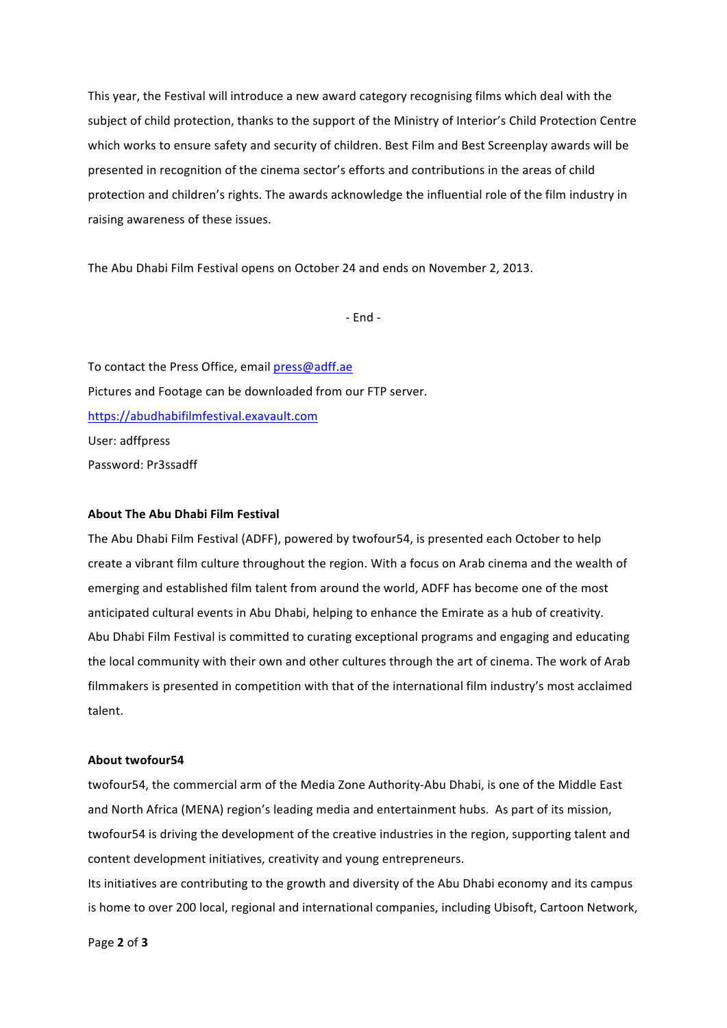This year, the Festival will introduce a new award category recognising films which deal with the subject of child protection, thanks to the support of the Ministry of Interior's Child Protection Centre which works to ensure safety and security of children. Best Film and Best Screenplay awards will be presented in recognition of the cinema sector's efforts and contributions in the areas of child protection and children's rights. The awards acknowledge the influential role of the film industry in raising awareness of these issues.

The Abu Dhabi Film Festival opens on October 24 and ends on November 2, 2013.

 $-$  End  $-$ 

To contact the Press Office, email press@adff.ae Pictures and Footage can be downloaded from our FTP server. https://abudhabifilmfestival.exavault.com User: adffpress Password: Pr3ssadff

## **About The Abu Dhabi Film Festival**

The Abu Dhabi Film Festival (ADFF), powered by twofour54, is presented each October to help create a vibrant film culture throughout the region. With a focus on Arab cinema and the wealth of emerging and established film talent from around the world, ADFF has become one of the most anticipated cultural events in Abu Dhabi, helping to enhance the Emirate as a hub of creativity. Abu Dhabi Film Festival is committed to curating exceptional programs and engaging and educating the local community with their own and other cultures through the art of cinema. The work of Arab filmmakers is presented in competition with that of the international film industry's most acclaimed talent.

## **About twofour54**

twofour54, the commercial arm of the Media Zone Authority-Abu Dhabi, is one of the Middle East and North Africa (MENA) region's leading media and entertainment hubs. As part of its mission, twofour54 is driving the development of the creative industries in the region, supporting talent and content development initiatives, creativity and young entrepreneurs.

Its initiatives are contributing to the growth and diversity of the Abu Dhabi economy and its campus is home to over 200 local, regional and international companies, including Ubisoft, Cartoon Network,